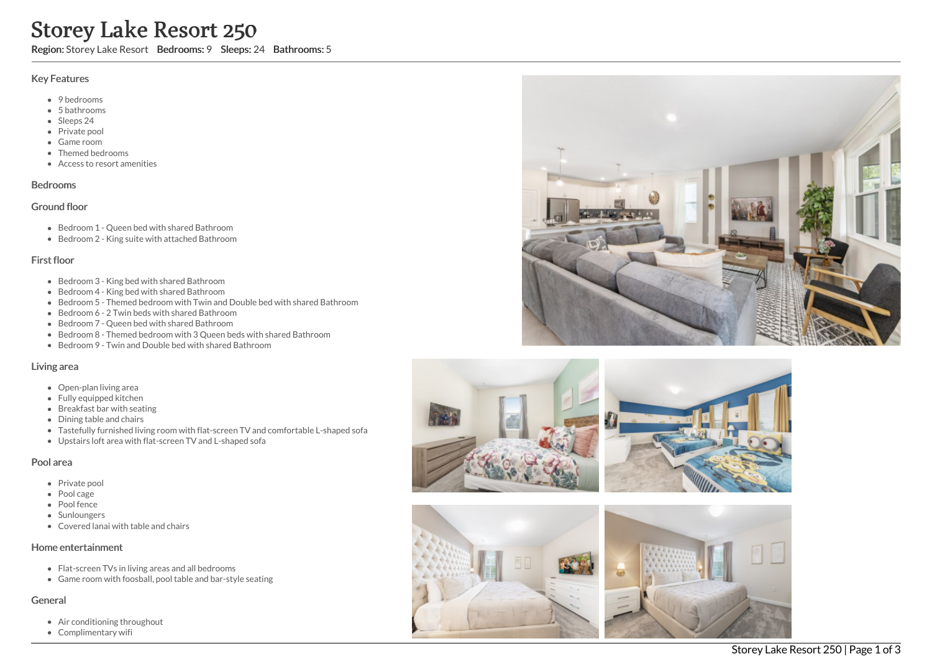# Storey Lake Resort 250

Region: Storey Lake Resort Bedrooms: 9 Sleeps: 24 Bathrooms: 5

#### Key Features

- 9 bedrooms
- 5 bathrooms
- Sleeps 24
- Private pool
- Game room
- Themed bedrooms
- Access to resort amenities

# Bedrooms

#### Ground floor

- Bedroom 1 Queen bed with shared Bathroom
- Bedroom 2 King suite with attached Bathroom

## First floor

- Bedroom 3 King bed with shared Bathroom
- Bedroom 4 King bed with shared Bathroom
- Bedroom 5 Themed bedroom with Twin and Double bed with shared Bathroom
- Bedroom 6 2 Twin beds with shared Bathroom
- Bedroom 7 Queen bed with shared Bathroom
- Bedroom 8 Themed bedroom with 3 Queen beds with shared Bathroom
- Bedroom 9 Twin and Double bed with shared Bathroom

## Living area

- Open-plan living area
- Fully equipped kitchen
- Breakfast bar with seating
- Dining table and chairs
- Tastefully furnished living room with flat-screen TV and comfortable L-shaped sofa
- Upstairs loft area with flat-screen TV and L-shaped sofa

## Pool area

- Private pool
- Pool cage
- Pool fence
- Sunloungers
- Covered lanai with table and chairs

#### Home entertainment

- Flat-screen TVs in living areas and all bedrooms
- Game room with foosball, pool table and bar-style seating

# General

- Air conditioning throughout
- Complimentary wifi





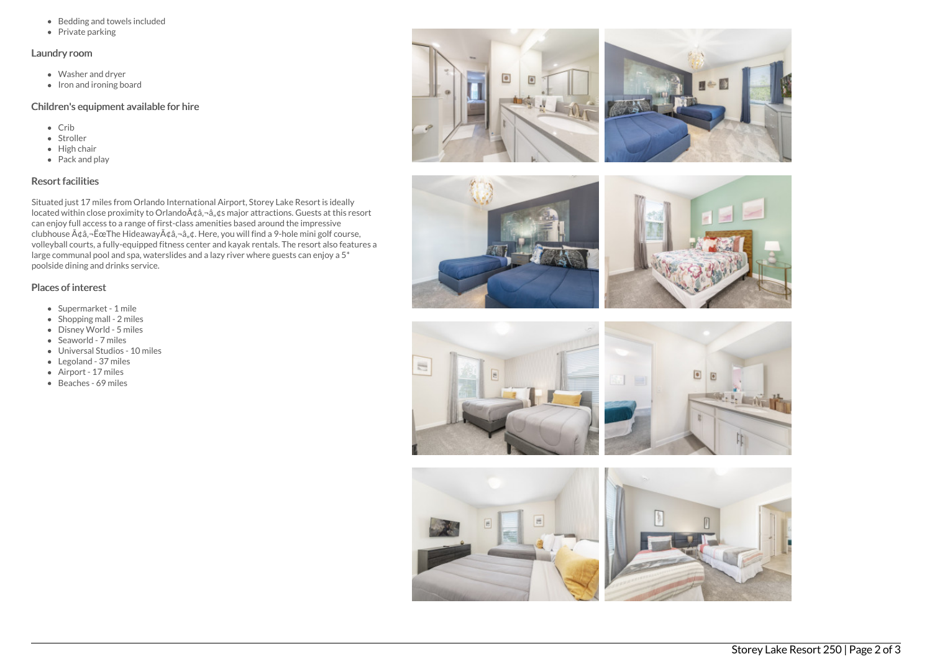- Bedding and towels included
- $\bullet$  Private parking

#### Laundry room

- Washer and dryer
- $\bullet$  Iron and ironing board

## Children's equipment available for hire

- Crib
- Stroller
- $\bullet$  High chair
- Pack and play

# Resort facilities

Situated just 17 miles from Orlando International Airport, Storey Lake Resort is ideally located within close proximity to Orlando $A\phi$ ,  $-\hat{a}$ ,  $\phi$ s major attractions. Guests at this resort can enjoy full access to a range of first-class amenities based around the impressive clubhouse  $\tilde{A}$ ¢â,¬ËœThe Hideaway $\tilde{A}$ ¢â,¬â, $\phi$ . Here, you will find a 9-hole mini golf course, volleyball courts, a fully-equipped fitness center and kayak rentals. The resort also features a large communal pool and spa, waterslides and a lazy river where guests can enjoy a 5\* poolside dining and drinks service.

# Places of interest

- Supermarket 1 mile
- Shopping mall 2 miles
- Disney World 5 miles
- Seaworld 7 miles
- Universal Studios 10 miles
- Legoland 37 miles
- Airport 17 miles
- Beaches 69 miles